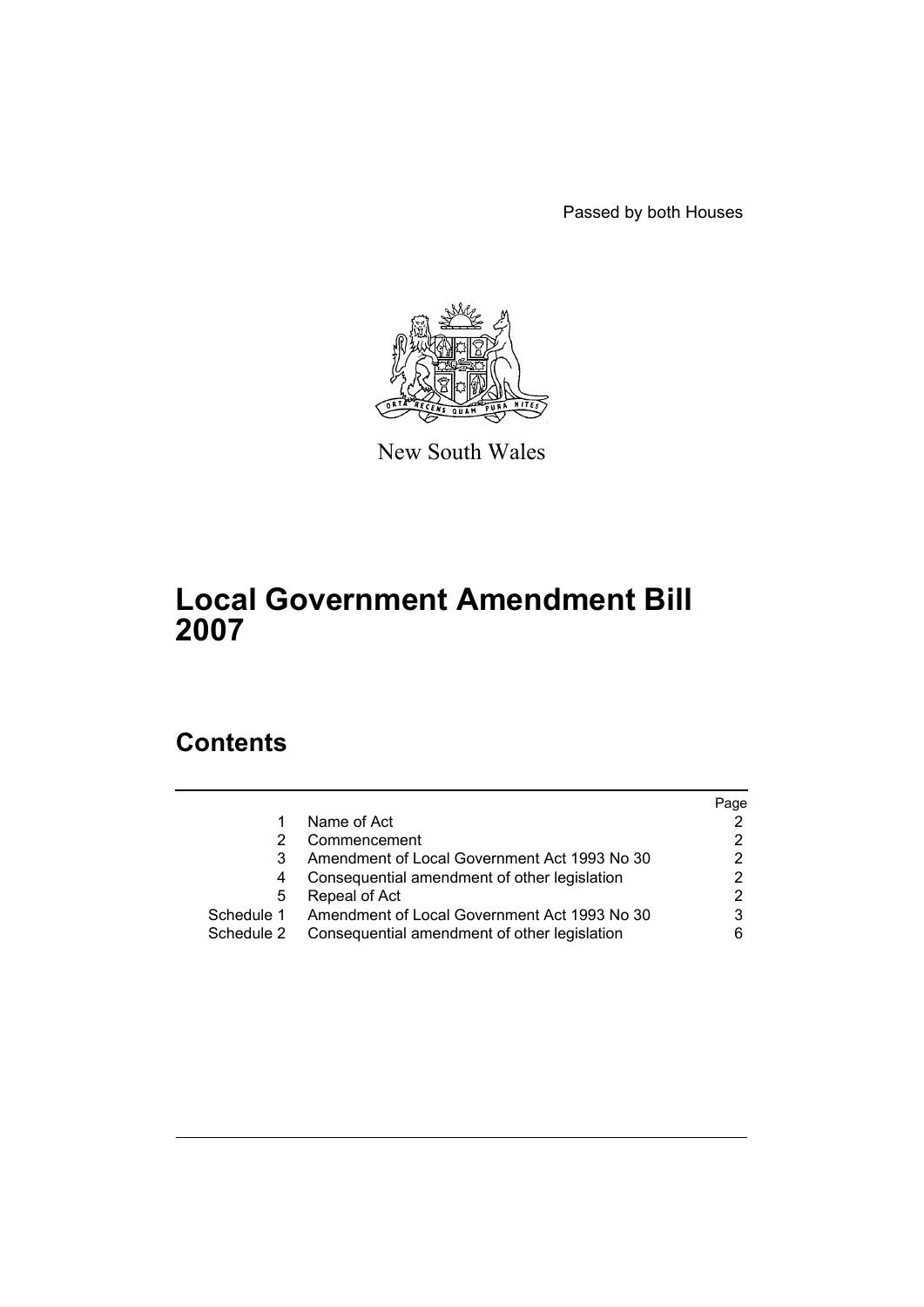Passed by both Houses



New South Wales

# **Local Government Amendment Bill 2007**

# **Contents**

|            |                                                         | Page |
|------------|---------------------------------------------------------|------|
|            | Name of Act                                             |      |
|            | Commencement                                            |      |
|            | Amendment of Local Government Act 1993 No 30            |      |
|            | Consequential amendment of other legislation            |      |
| 5          | Repeal of Act                                           |      |
|            | Schedule 1 Amendment of Local Government Act 1993 No 30 |      |
| Schedule 2 | Consequential amendment of other legislation            |      |
|            |                                                         |      |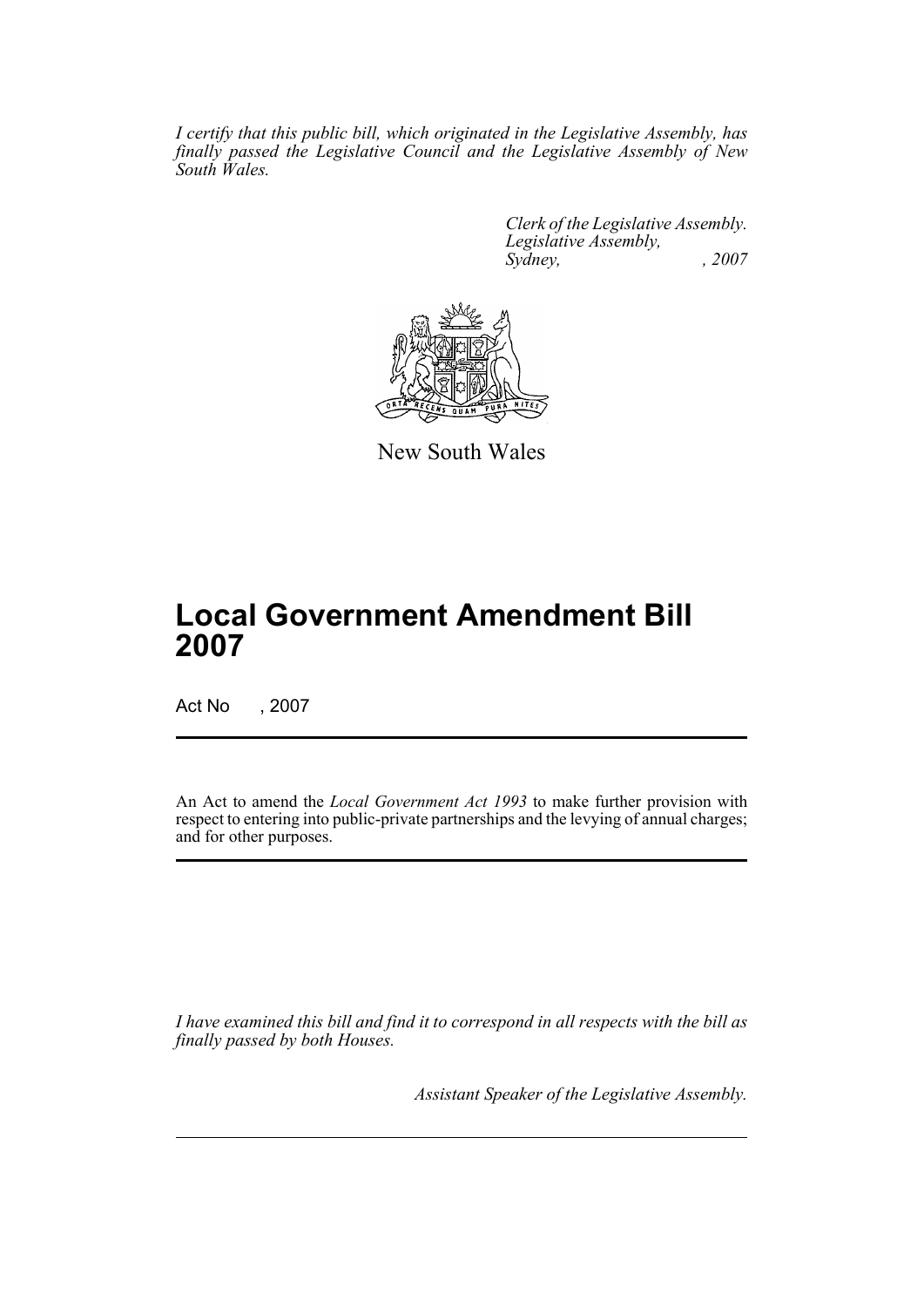*I certify that this public bill, which originated in the Legislative Assembly, has finally passed the Legislative Council and the Legislative Assembly of New South Wales.*

> *Clerk of the Legislative Assembly. Legislative Assembly, Sydney, , 2007*



New South Wales

# **Local Government Amendment Bill 2007**

Act No , 2007

An Act to amend the *Local Government Act 1993* to make further provision with respect to entering into public-private partnerships and the levying of annual charges; and for other purposes.

*I have examined this bill and find it to correspond in all respects with the bill as finally passed by both Houses.*

*Assistant Speaker of the Legislative Assembly.*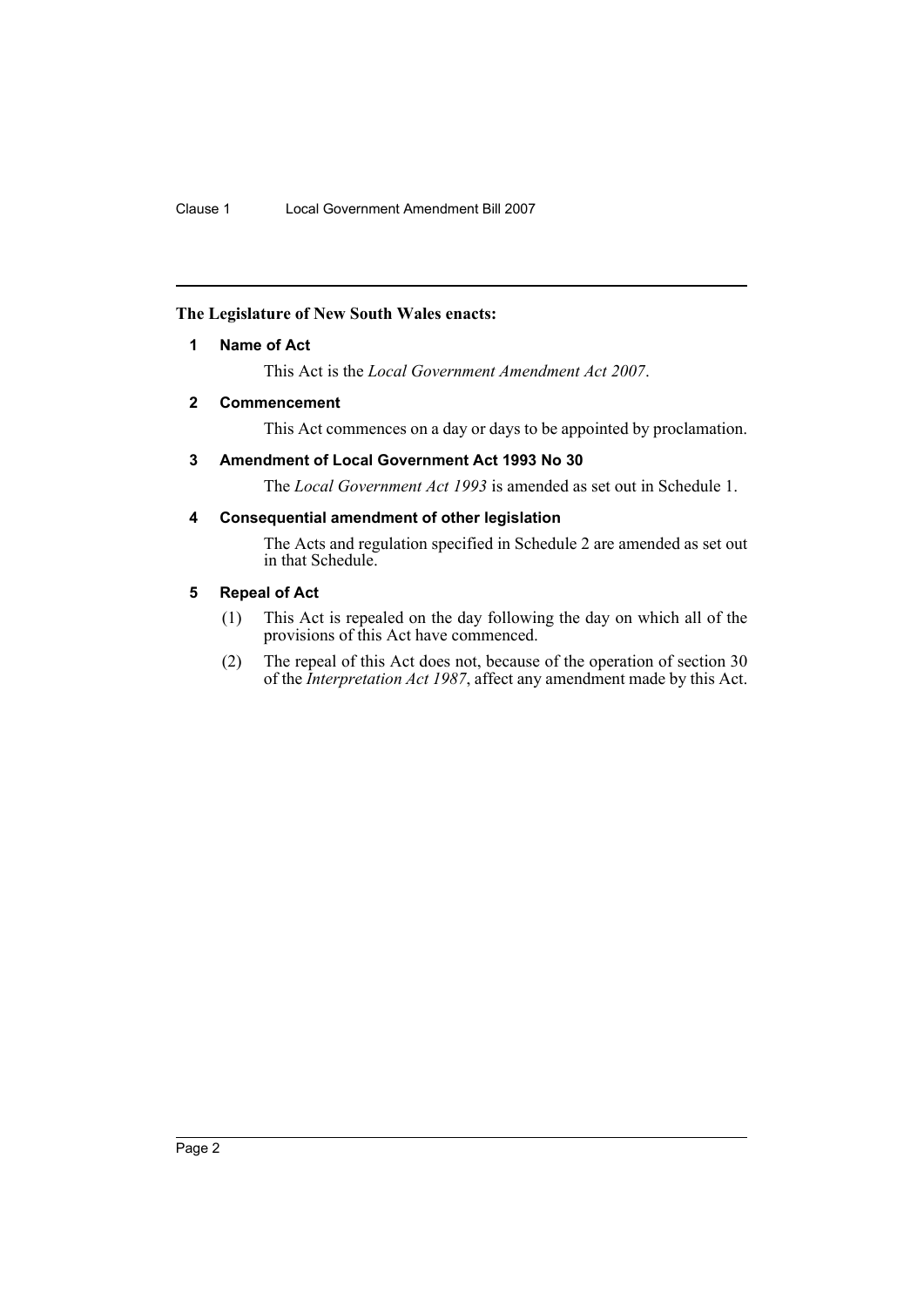### <span id="page-2-0"></span>**The Legislature of New South Wales enacts:**

## **1 Name of Act**

This Act is the *Local Government Amendment Act 2007*.

#### <span id="page-2-1"></span>**2 Commencement**

This Act commences on a day or days to be appointed by proclamation.

### <span id="page-2-2"></span>**3 Amendment of Local Government Act 1993 No 30**

The *Local Government Act 1993* is amended as set out in Schedule 1.

## <span id="page-2-3"></span>**4 Consequential amendment of other legislation**

The Acts and regulation specified in Schedule 2 are amended as set out in that Schedule.

#### <span id="page-2-4"></span>**5 Repeal of Act**

- (1) This Act is repealed on the day following the day on which all of the provisions of this Act have commenced.
- (2) The repeal of this Act does not, because of the operation of section 30 of the *Interpretation Act 1987*, affect any amendment made by this Act.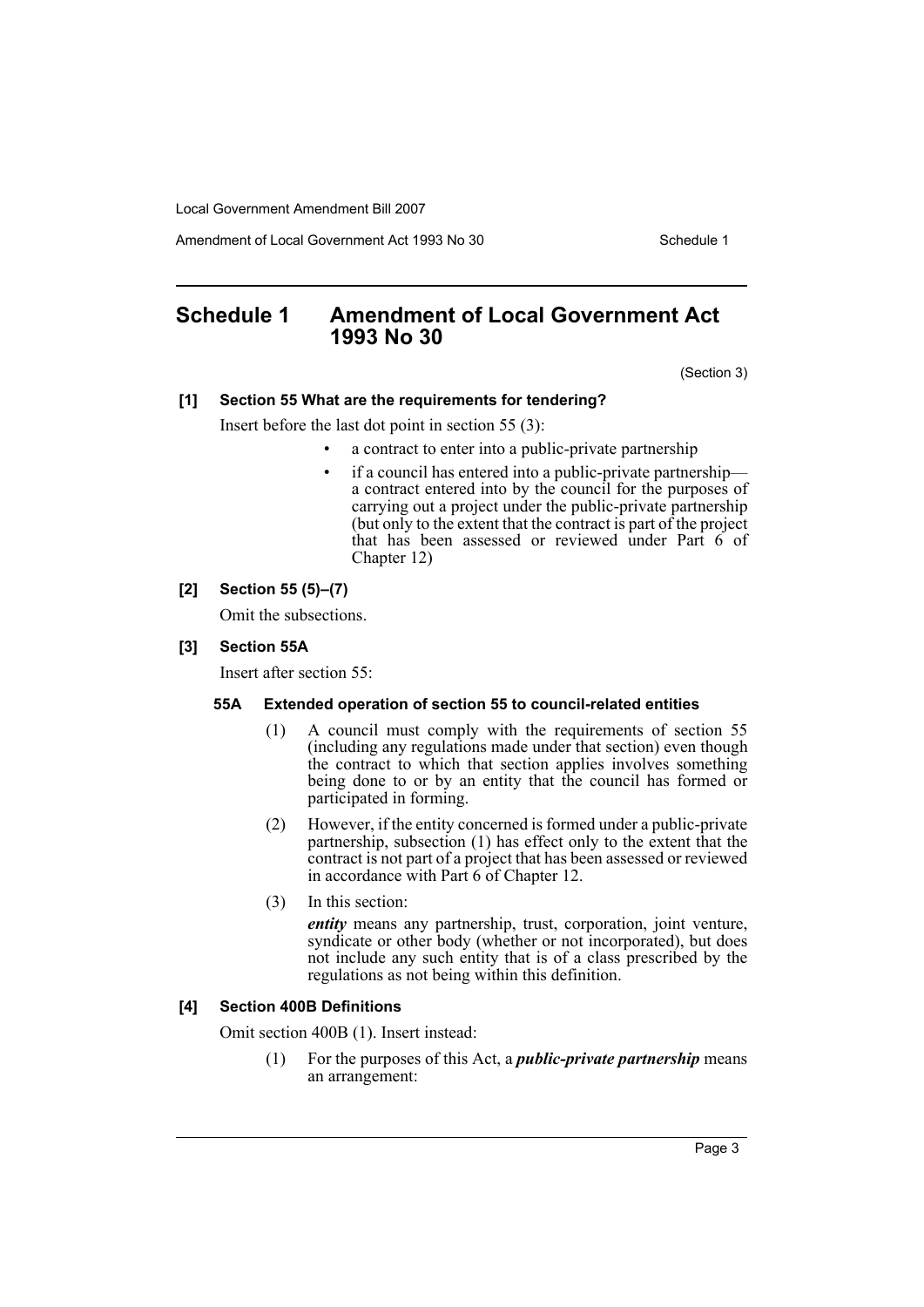Amendment of Local Government Act 1993 No 30 Schedule 1

# <span id="page-3-0"></span>**Schedule 1 Amendment of Local Government Act 1993 No 30**

(Section 3)

#### **[1] Section 55 What are the requirements for tendering?**

Insert before the last dot point in section 55 (3):

- a contract to enter into a public-private partnership
- if a council has entered into a public-private partnership a contract entered into by the council for the purposes of carrying out a project under the public-private partnership (but only to the extent that the contract is part of the project that has been assessed or reviewed under Part 6 of Chapter 12)

#### **[2] Section 55 (5)–(7)**

Omit the subsections.

#### **[3] Section 55A**

Insert after section 55:

#### **55A Extended operation of section 55 to council-related entities**

- (1) A council must comply with the requirements of section 55 (including any regulations made under that section) even though the contract to which that section applies involves something being done to or by an entity that the council has formed or participated in forming.
- (2) However, if the entity concerned is formed under a public-private partnership, subsection (1) has effect only to the extent that the contract is not part of a project that has been assessed or reviewed in accordance with Part 6 of Chapter 12.
- (3) In this section:

*entity* means any partnership, trust, corporation, joint venture, syndicate or other body (whether or not incorporated), but does not include any such entity that is of a class prescribed by the regulations as not being within this definition.

#### **[4] Section 400B Definitions**

Omit section 400B (1). Insert instead:

(1) For the purposes of this Act, a *public-private partnership* means an arrangement: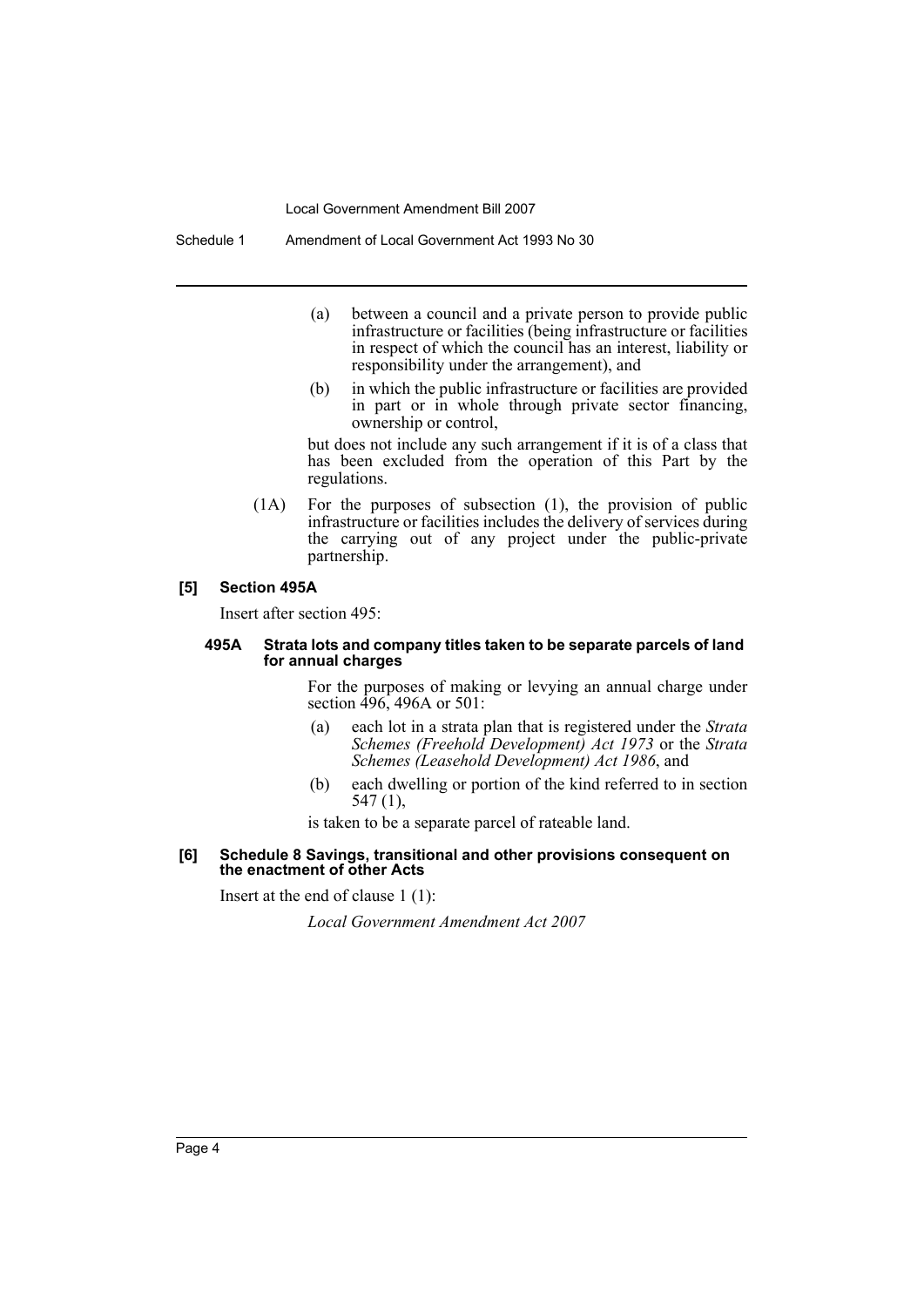Schedule 1 Amendment of Local Government Act 1993 No 30

- (a) between a council and a private person to provide public infrastructure or facilities (being infrastructure or facilities in respect of which the council has an interest, liability or responsibility under the arrangement), and
- (b) in which the public infrastructure or facilities are provided in part or in whole through private sector financing, ownership or control,

but does not include any such arrangement if it is of a class that has been excluded from the operation of this Part by the regulations.

(1A) For the purposes of subsection (1), the provision of public infrastructure or facilities includes the delivery of services during the carrying out of any project under the public-private partnership.

#### **[5] Section 495A**

Insert after section 495:

#### **495A Strata lots and company titles taken to be separate parcels of land for annual charges**

For the purposes of making or levying an annual charge under section 496, 496A or 501:

- (a) each lot in a strata plan that is registered under the *Strata Schemes (Freehold Development) Act 1973* or the *Strata Schemes (Leasehold Development) Act 1986*, and
- (b) each dwelling or portion of the kind referred to in section 547 (1),

is taken to be a separate parcel of rateable land.

#### **[6] Schedule 8 Savings, transitional and other provisions consequent on the enactment of other Acts**

Insert at the end of clause 1 (1):

*Local Government Amendment Act 2007*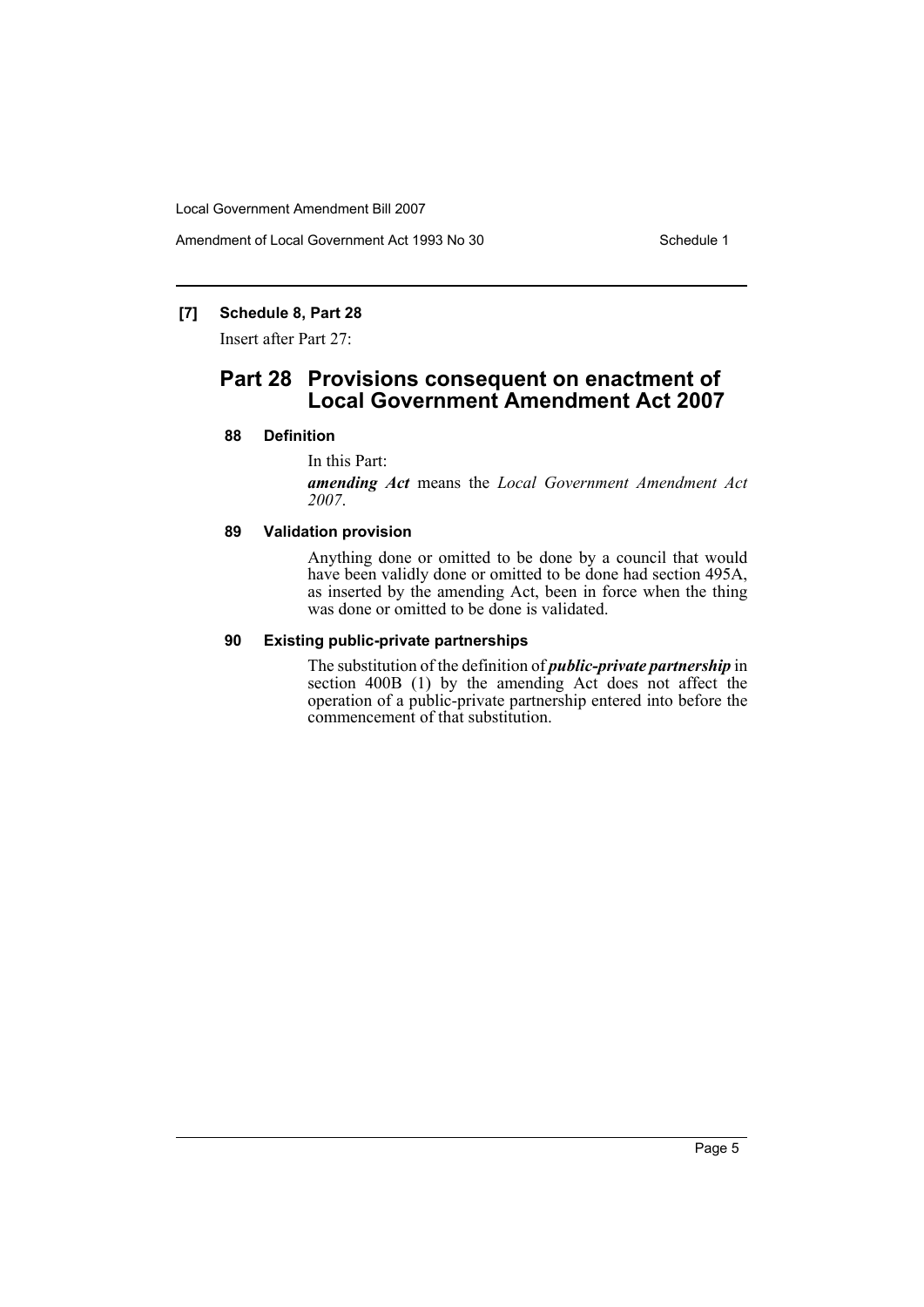Amendment of Local Government Act 1993 No 30 Schedule 1

## **[7] Schedule 8, Part 28**

Insert after Part 27:

# **Part 28 Provisions consequent on enactment of Local Government Amendment Act 2007**

#### **88 Definition**

#### In this Part:

*amending Act* means the *Local Government Amendment Act 2007*.

#### **89 Validation provision**

Anything done or omitted to be done by a council that would have been validly done or omitted to be done had section 495A, as inserted by the amending Act, been in force when the thing was done or omitted to be done is validated.

#### **90 Existing public-private partnerships**

The substitution of the definition of *public-private partnership* in section 400B (1) by the amending Act does not affect the operation of a public-private partnership entered into before the commencement of that substitution.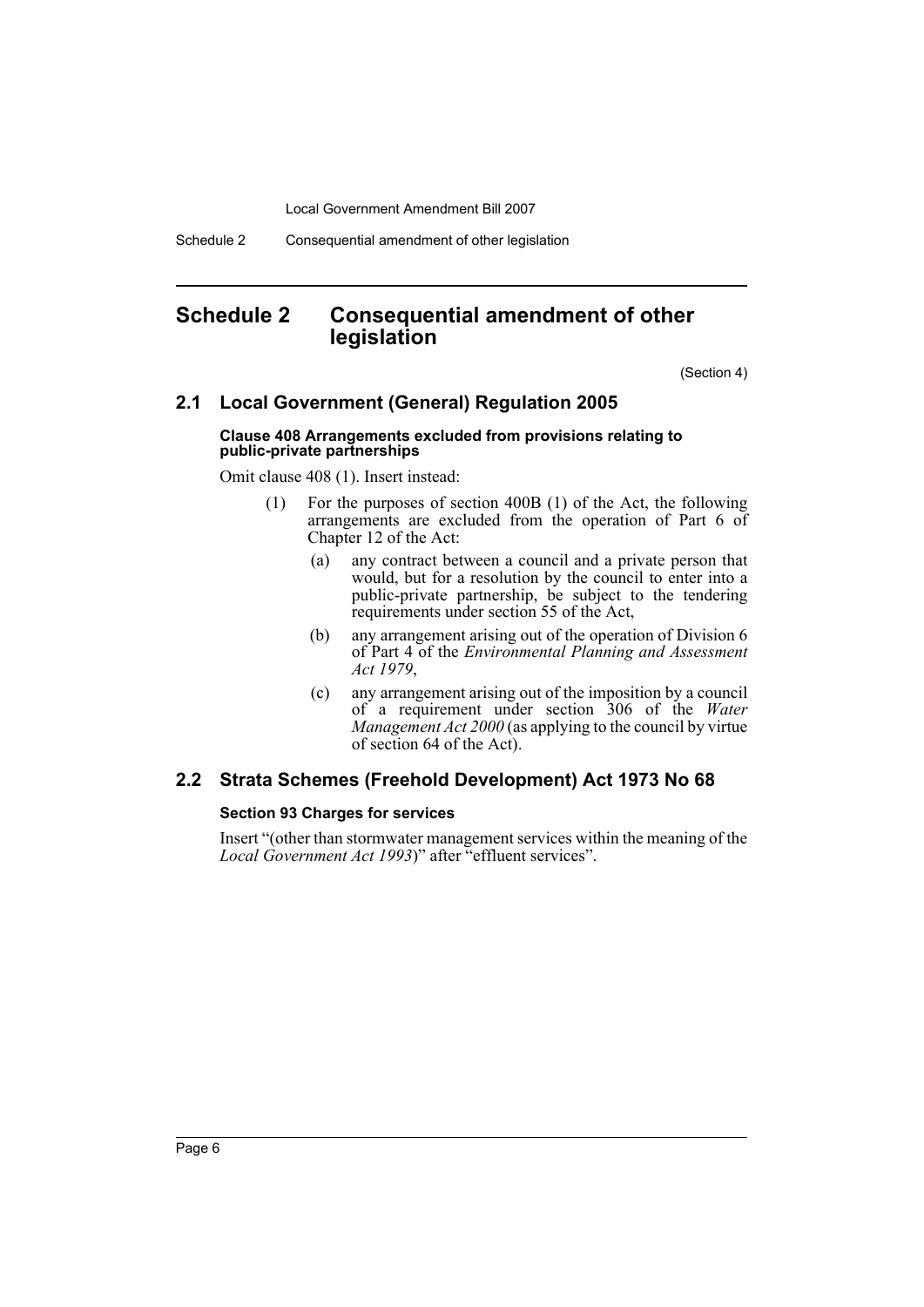Schedule 2 Consequential amendment of other legislation

# <span id="page-6-0"></span>**Schedule 2 Consequential amendment of other legislation**

(Section 4)

## **2.1 Local Government (General) Regulation 2005**

#### **Clause 408 Arrangements excluded from provisions relating to public-private partnerships**

Omit clause 408 (1). Insert instead:

- (1) For the purposes of section 400B (1) of the Act, the following arrangements are excluded from the operation of Part 6 of Chapter 12 of the Act:
	- (a) any contract between a council and a private person that would, but for a resolution by the council to enter into a public-private partnership, be subject to the tendering requirements under section 55 of the Act,
	- (b) any arrangement arising out of the operation of Division 6 of Part 4 of the *Environmental Planning and Assessment Act 1979*,
	- (c) any arrangement arising out of the imposition by a council of a requirement under section 306 of the *Water Management Act 2000* (as applying to the council by virtue of section 64 of the Act).

# **2.2 Strata Schemes (Freehold Development) Act 1973 No 68**

#### **Section 93 Charges for services**

Insert "(other than stormwater management services within the meaning of the *Local Government Act 1993*)" after "effluent services".